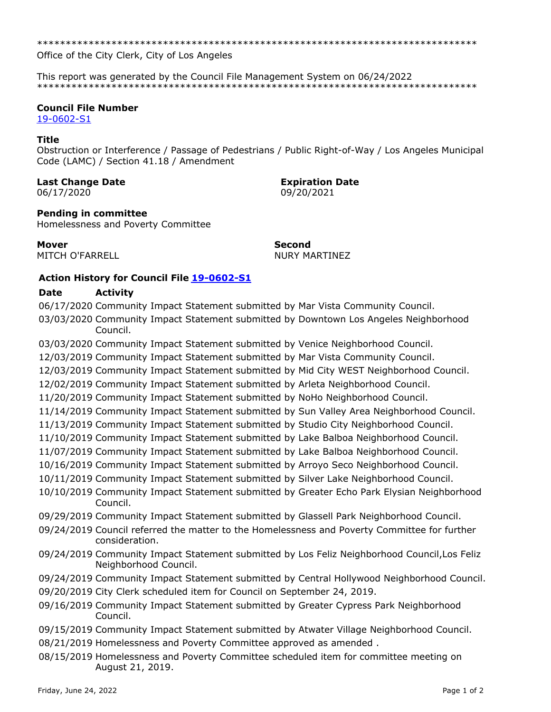Office of the City Clerk, City of Los Angeles

This report was generated by the Council File Management System on 06/24/2022 

# **Council File Number**

19-0602-S1

#### **Title**

Obstruction or Interference / Passage of Pedestrians / Public Right-of-Way / Los Angeles Municipal Code (LAMC) / Section 41.18 / Amendment

## **Last Change Date**

06/17/2020

**Expiration Date** 09/20/2021

## **Pending in committee**

Homelessness and Poverty Committee

**Mover** MITCH O'FARRELL **Second NURY MARTINEZ** 

# **Action History for Council File 19-0602-S1**

#### Date **Activity**

06/17/2020 Community Impact Statement submitted by Mar Vista Community Council. 03/03/2020 Community Impact Statement submitted by Downtown Los Angeles Neighborhood Council. 03/03/2020 Community Impact Statement submitted by Venice Neighborhood Council. 12/03/2019 Community Impact Statement submitted by Mar Vista Community Council. 12/03/2019 Community Impact Statement submitted by Mid City WEST Neighborhood Council. 12/02/2019 Community Impact Statement submitted by Arleta Neighborhood Council. 11/20/2019 Community Impact Statement submitted by NoHo Neighborhood Council. 11/14/2019 Community Impact Statement submitted by Sun Valley Area Neighborhood Council. 11/13/2019 Community Impact Statement submitted by Studio City Neighborhood Council. 11/10/2019 Community Impact Statement submitted by Lake Balboa Neighborhood Council. 11/07/2019 Community Impact Statement submitted by Lake Balboa Neighborhood Council. 10/16/2019 Community Impact Statement submitted by Arroyo Seco Neighborhood Council. 10/11/2019 Community Impact Statement submitted by Silver Lake Neighborhood Council. 10/10/2019 Community Impact Statement submitted by Greater Echo Park Elysian Neighborhood Council. 09/29/2019 Community Impact Statement submitted by Glassell Park Neighborhood Council. 09/24/2019 Council referred the matter to the Homelessness and Poverty Committee for further consideration. 09/24/2019 Community Impact Statement submitted by Los Feliz Neighborhood Council, Los Feliz Neighborhood Council. 09/24/2019 Community Impact Statement submitted by Central Hollywood Neighborhood Council. 09/20/2019 City Clerk scheduled item for Council on September 24, 2019. 09/16/2019 Community Impact Statement submitted by Greater Cypress Park Neighborhood Council. 09/15/2019 Community Impact Statement submitted by Atwater Village Neighborhood Council. 08/21/2019 Homelessness and Poverty Committee approved as amended. 08/15/2019 Homelessness and Poverty Committee scheduled item for committee meeting on August 21, 2019.